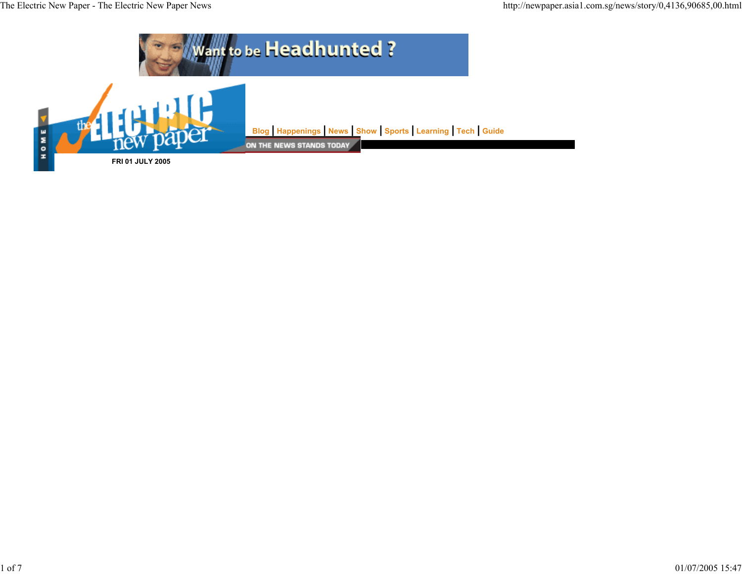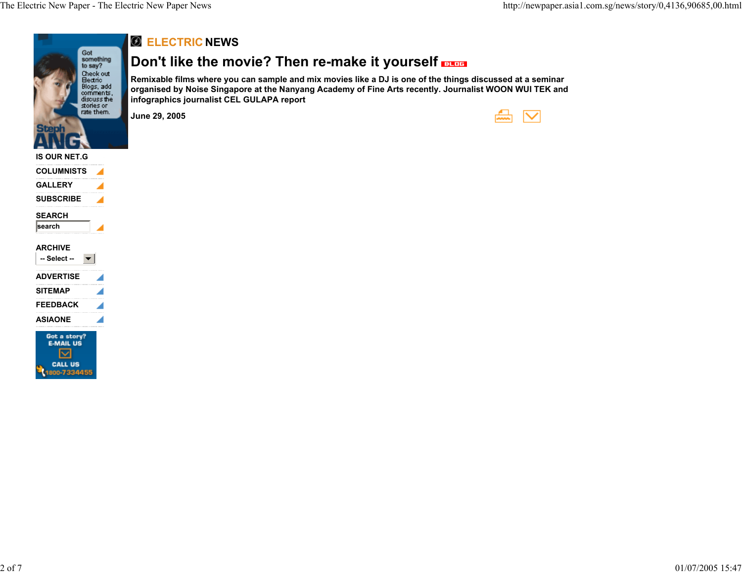

### **ARCHIVE**

| ARUMIVE          |  |
|------------------|--|
| -- Select --     |  |
| <b>ADVERTISE</b> |  |
| <b>SITEMAP</b>   |  |
| <b>FEEDBACK</b>  |  |
| <b>ASIAONE</b>   |  |
|                  |  |

E-MAIL US ☑ **CALL US** 1800-7334455

### **ELECTRIC NEWS**

# **Don't like the movie? Then re-make it yourself**

**Remixable films where you can sample and mix movies like a DJ is one of the things discussed at a seminar organised by Noise Singapore at the Nanyang Academy of Fine Arts recently. Journalist WOON WUI TEK and infographics journalist CEL GULAPA report**

**June 29, 2005**

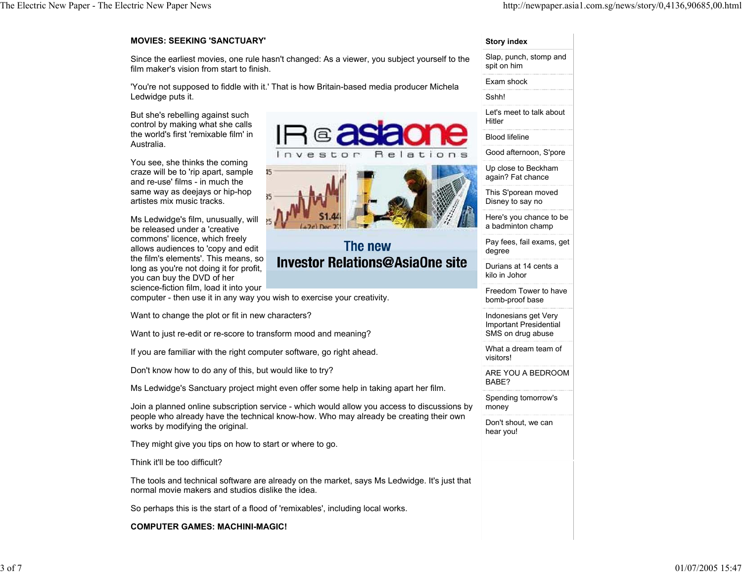### **MOVIES: SEEKING 'SANCTUARY'**

Since the earliest movies, one rule hasn't changed: As a viewer, you subject yourself to the film maker's vision from start to finish.

'You're not supposed to fiddle with it.' That is how Britain-based media producer Michela Ledwidge puts it.

But she's rebelling against such control by making what she calls the world's first 'remixable film' in Australia.

You see, she thinks the coming craze will be to 'rip apart, sample and re-use' films - in much the same way as deejays or hip-hop artistes mix music tracks.

Ms Ledwidge's film, unusually, will be released under a 'creative commons' licence, which freely allows audiences to 'copy and edit the film's elements'. This means, so long as you're not doing it for profit, you can buy the DVD of her science-fiction film, load it into your



# The new **Investor Relations@AsiaOne site**

computer - then use it in any way you wish to exercise your creativity.

Want to change the plot or fit in new characters?

Want to just re-edit or re-score to transform mood and meaning?

If you are familiar with the right computer software, go right ahead.

Don't know how to do any of this, but would like to try?

Ms Ledwidge's Sanctuary project might even offer some help in taking apart her film.

Join a planned online subscription service - which would allow you access to discussions by people who already have the technical know-how. Who may already be creating their own works by modifying the original.

They might give you tips on how to start or where to go.

Think it'll be too difficult?

The tools and technical software are already on the market, says Ms Ledwidge. It's just that normal movie makers and studios dislike the idea.

So perhaps this is the start of a flood of 'remixables', including local works.

**COMPUTER GAMES: MACHINI-MAGIC!**

#### **Story index**

Slap, punch, stomp and spit on him Exam shock Sshh!Let's meet to talk about HitlerBlood lifelineGood afternoon, S'pore Up close to Beckham again? Fat chance

This S'porean moved Disney to say no

Here's you chance to be a badminton champ

Pay fees, fail exams, get degree

Durians at 14 cents a kilo in Johor

Freedom Tower to have bomb-proof base

Indonesians get Very Important Presidential SMS on drug abuse

What a dream team of visitors!

ARE YOU A BEDROOM BABE?

Spending tomorrow's money

Don't shout, we can hear you!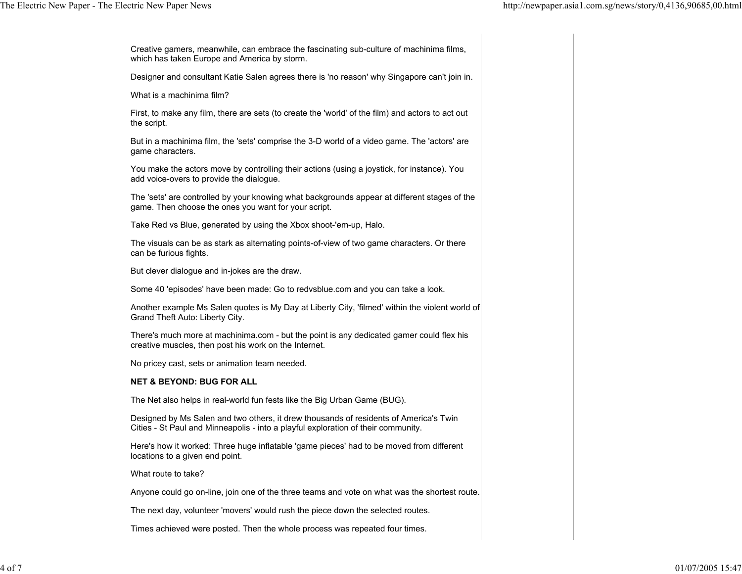Creative gamers, meanwhile, can embrace the fascinating sub-culture of machinima films, which has taken Europe and America by storm.

Designer and consultant Katie Salen agrees there is 'no reason' why Singapore can't join in.

What is a machinima film?

First, to make any film, there are sets (to create the 'world' of the film) and actors to act out the script.

But in a machinima film, the 'sets' comprise the 3-D world of a video game. The 'actors' are game characters.

You make the actors move by controlling their actions (using a joystick, for instance). You add voice-overs to provide the dialogue.

The 'sets' are controlled by your knowing what backgrounds appear at different stages of the game. Then choose the ones you want for your script.

Take Red vs Blue, generated by using the Xbox shoot-'em-up, Halo.

The visuals can be as stark as alternating points-of-view of two game characters. Or there can be furious fights.

But clever dialogue and in-jokes are the draw.

Some 40 'episodes' have been made: Go to redvsblue.com and you can take a look.

Another example Ms Salen quotes is My Day at Liberty City, 'filmed' within the violent world of Grand Theft Auto: Liberty City.

There's much more at machinima.com - but the point is any dedicated gamer could flex his creative muscles, then post his work on the Internet.

No pricey cast, sets or animation team needed.

### **NET & BEYOND: BUG FOR ALL**

The Net also helps in real-world fun fests like the Big Urban Game (BUG).

Designed by Ms Salen and two others, it drew thousands of residents of America's Twin Cities - St Paul and Minneapolis - into a playful exploration of their community.

Here's how it worked: Three huge inflatable 'game pieces' had to be moved from different locations to a given end point.

What route to take?

Anyone could go on-line, join one of the three teams and vote on what was the shortest route.

The next day, volunteer 'movers' would rush the piece down the selected routes.

Times achieved were posted. Then the whole process was repeated four times.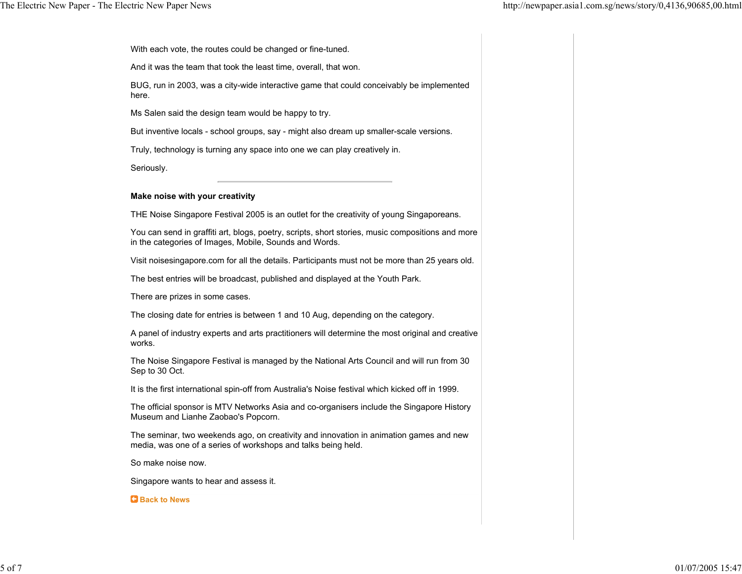With each vote, the routes could be changed or fine-tuned.

And it was the team that took the least time, overall, that won.

BUG, run in 2003, was a city-wide interactive game that could conceivably be implemented here.

Ms Salen said the design team would be happy to try.

But inventive locals - school groups, say - might also dream up smaller-scale versions.

Truly, technology is turning any space into one we can play creatively in.

Seriously.

### **Make noise with your creativity**

THE Noise Singapore Festival 2005 is an outlet for the creativity of young Singaporeans.

You can send in graffiti art, blogs, poetry, scripts, short stories, music compositions and more in the categories of Images, Mobile, Sounds and Words.

Visit noisesingapore.com for all the details. Participants must not be more than 25 years old.

The best entries will be broadcast, published and displayed at the Youth Park.

There are prizes in some cases.

The closing date for entries is between 1 and 10 Aug, depending on the category.

A panel of industry experts and arts practitioners will determine the most original and creative works.

The Noise Singapore Festival is managed by the National Arts Council and will run from 30 Sep to 30 Oct.

It is the first international spin-off from Australia's Noise festival which kicked off in 1999.

The official sponsor is MTV Networks Asia and co-organisers include the Singapore History Museum and Lianhe Zaobao's Popcorn.

The seminar, two weekends ago, on creativity and innovation in animation games and new media, was one of a series of workshops and talks being held.

So make noise now.

Singapore wants to hear and assess it.

#### **Back to News**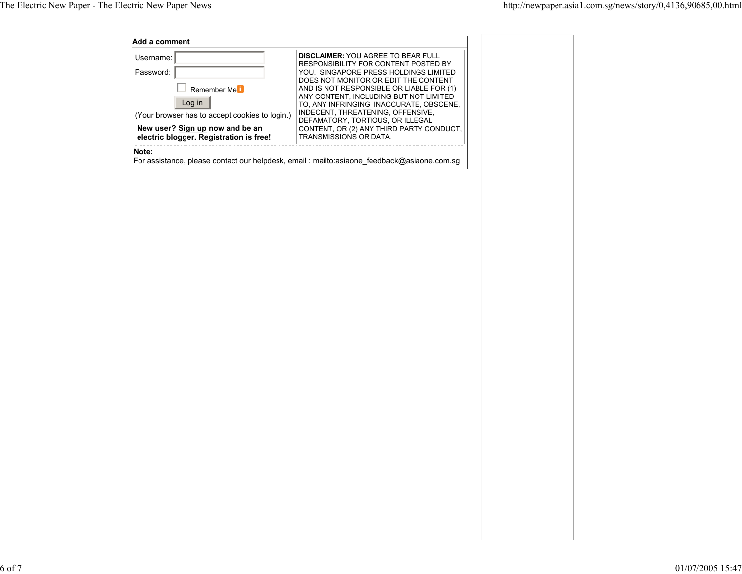| Username:                                      | <b>DISCLAIMER: YOU AGREE TO BEAR FULL</b>                                          |
|------------------------------------------------|------------------------------------------------------------------------------------|
| Password:                                      | RESPONSIBILITY FOR CONTENT POSTED BY<br>YOU. SINGAPORE PRESS HOLDINGS LIMITED      |
|                                                | DOES NOT MONITOR OR EDIT THE CONTENT                                               |
| Remember Me <sup>i</sup>                       | AND IS NOT RESPONSIBLE OR LIABLE FOR (1)                                           |
| Log in                                         | ANY CONTENT. INCLUDING BUT NOT LIMITED<br>TO, ANY INFRINGING, INACCURATE, OBSCENE, |
| (Your browser has to accept cookies to login.) | INDECENT, THREATENING, OFFENSIVE,<br>DEFAMATORY, TORTIOUS, OR ILLEGAL              |
| New user? Sign up now and be an                | CONTENT, OR (2) ANY THIRD PARTY CONDUCT,                                           |
| electric blogger. Registration is free!        | <b>TRANSMISSIONS OR DATA</b>                                                       |